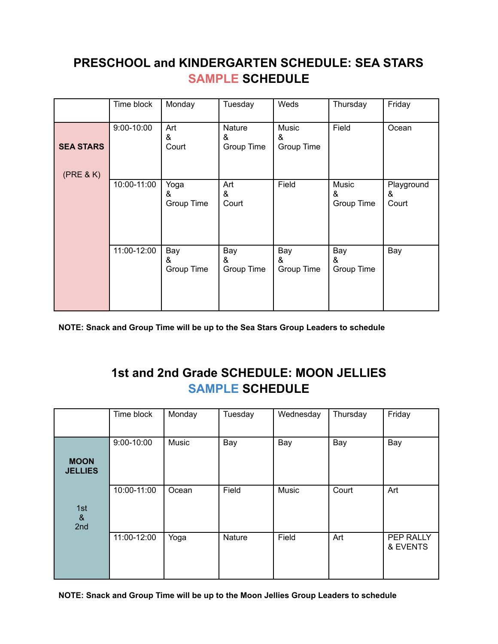## **PRESCHOOL and KINDERGARTEN SCHEDULE: SEA STARS SAMPLE SCHEDULE**

|                               | Time block  | Monday                  | Tuesday                   | Weds                     | Thursday                 | Friday                   |
|-------------------------------|-------------|-------------------------|---------------------------|--------------------------|--------------------------|--------------------------|
| <b>SEA STARS</b><br>(PRE & K) | 9:00-10:00  | Art<br>&<br>Court       | Nature<br>&<br>Group Time | Music<br>&<br>Group Time | Field                    | Ocean                    |
|                               | 10:00-11:00 | Yoga<br>&<br>Group Time | Art<br>&<br>Court         | Field                    | Music<br>&<br>Group Time | Playground<br>&<br>Court |
|                               | 11:00-12:00 | Bay<br>&<br>Group Time  | Bay<br>&<br>Group Time    | Bay<br>&<br>Group Time   | Bay<br>&<br>Group Time   | Bay                      |

**NOTE: Snack and Group Time will be up to the Sea Stars Group Leaders to schedule**

## **1st and 2nd Grade SCHEDULE: MOON JELLIES SAMPLE SCHEDULE**

|                                                 | Time block  | Monday | Tuesday | Wednesday | Thursday | Friday                |
|-------------------------------------------------|-------------|--------|---------|-----------|----------|-----------------------|
| <b>MOON</b><br><b>JELLIES</b>                   | 9:00-10:00  | Music  | Bay     | Bay       | Bay      | Bay                   |
| 1st<br>$\boldsymbol{\alpha}$<br>2 <sub>nd</sub> | 10:00-11:00 | Ocean  | Field   | Music     | Court    | Art                   |
|                                                 | 11:00-12:00 | Yoga   | Nature  | Field     | Art      | PEP RALLY<br>& EVENTS |

**NOTE: Snack and Group Time will be up to the Moon Jellies Group Leaders to schedule**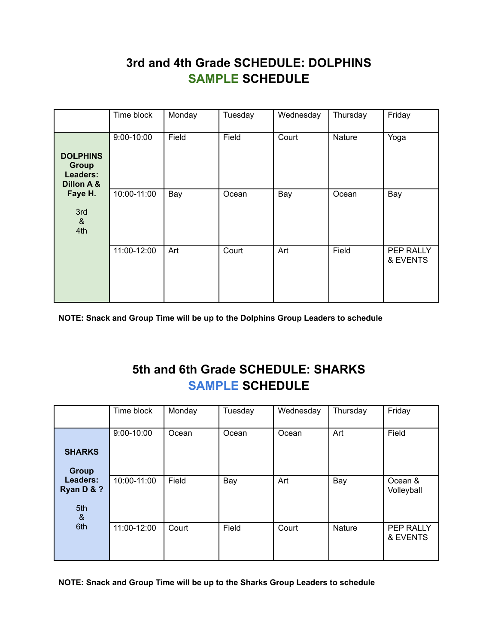## **3rd and 4th Grade SCHEDULE: DOLPHINS SAMPLE SCHEDULE**

|                                                           | Time block     | Monday | Tuesday | Wednesday | Thursday | Friday                |
|-----------------------------------------------------------|----------------|--------|---------|-----------|----------|-----------------------|
| <b>DOLPHINS</b><br><b>Group</b><br>Leaders:<br>Dillon A & | $9:00 - 10:00$ | Field  | Field   | Court     | Nature   | Yoga                  |
| Faye H.<br>3rd<br>8 <sub>x</sub><br>4th                   | 10:00-11:00    | Bay    | Ocean   | Bay       | Ocean    | Bay                   |
|                                                           | 11:00-12:00    | Art    | Court   | Art       | Field    | PEP RALLY<br>& EVENTS |

**NOTE: Snack and Group Time will be up to the Dolphins Group Leaders to schedule**

## **5th and 6th Grade SCHEDULE: SHARKS SAMPLE SCHEDULE**

|                                    | Time block  | Monday | Tuesday | Wednesday | Thursday      | Friday                |
|------------------------------------|-------------|--------|---------|-----------|---------------|-----------------------|
|                                    | 9:00-10:00  | Ocean  | Ocean   | Ocean     | Art           | Field                 |
| <b>SHARKS</b><br><b>Group</b>      |             |        |         |           |               |                       |
| Leaders:<br>Ryan D & ?<br>5th<br>& | 10:00-11:00 | Field  | Bay     | Art       | Bay           | Ocean &<br>Volleyball |
| 6th                                | 11:00-12:00 | Court  | Field   | Court     | <b>Nature</b> | PEP RALLY<br>& EVENTS |

**NOTE: Snack and Group Time will be up to the Sharks Group Leaders to schedule**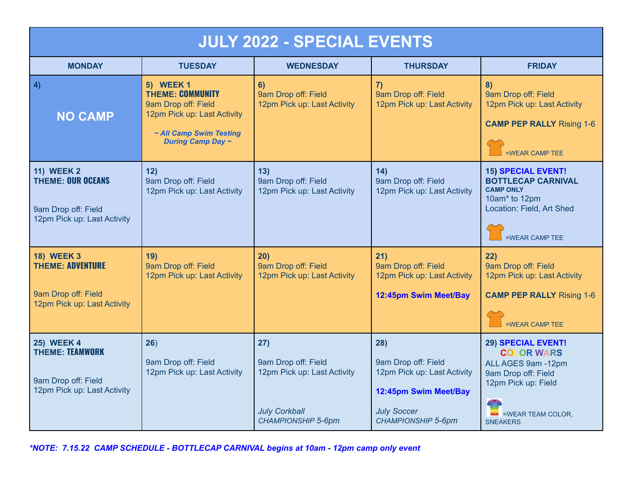| <b>JULY 2022 - SPECIAL EVENTS</b>                                                                   |                                                                                                                                                          |                                                                                                                |                                                                                                                                       |                                                                                                                                                            |  |  |  |
|-----------------------------------------------------------------------------------------------------|----------------------------------------------------------------------------------------------------------------------------------------------------------|----------------------------------------------------------------------------------------------------------------|---------------------------------------------------------------------------------------------------------------------------------------|------------------------------------------------------------------------------------------------------------------------------------------------------------|--|--|--|
| <b>MONDAY</b>                                                                                       | <b>TUESDAY</b>                                                                                                                                           | <b>WEDNESDAY</b>                                                                                               | <b>THURSDAY</b>                                                                                                                       | <b>FRIDAY</b>                                                                                                                                              |  |  |  |
| 4)<br><b>NO CAMP</b>                                                                                | <b>5) WEEK 1</b><br><b>THEME: COMMUNITY</b><br>9am Drop off: Field<br>12pm Pick up: Last Activity<br>~ All Camp Swim Testing<br><b>During Camp Day ~</b> | 6)<br>9am Drop off: Field<br>12pm Pick up: Last Activity                                                       | 7)<br>9am Drop off: Field<br>12pm Pick up: Last Activity                                                                              | 8)<br>9am Drop off: Field<br>12pm Pick up: Last Activity<br><b>CAMP PEP RALLY Rising 1-6</b><br>=WEAR CAMP TEE                                             |  |  |  |
| <b>11) WEEK 2</b><br><b>THEME: OUR OCEANS</b><br>9am Drop off: Field<br>12pm Pick up: Last Activity | 12)<br>9am Drop off: Field<br>12pm Pick up: Last Activity                                                                                                | 13)<br>9am Drop off: Field<br>12pm Pick up: Last Activity                                                      | 14)<br>9am Drop off: Field<br>12pm Pick up: Last Activity                                                                             | <b>15) SPECIAL EVENT!</b><br><b>BOTTLECAP CARNIVAL</b><br><b>CAMP ONLY</b><br>10am* to 12pm<br>Location: Field, Art Shed<br>=WEAR CAMP TEE                 |  |  |  |
| <b>18) WEEK 3</b><br><b>THEME: ADVENTURE</b><br>9am Drop off: Field<br>12pm Pick up: Last Activity  | 19)<br>9am Drop off: Field<br>12pm Pick up: Last Activity                                                                                                | 20)<br>9am Drop off: Field<br>12pm Pick up: Last Activity                                                      | 21)<br>9am Drop off: Field<br>12pm Pick up: Last Activity<br>12:45pm Swim Meet/Bay                                                    | 22)<br>9am Drop off: Field<br>12pm Pick up: Last Activity<br><b>CAMP PEP RALLY Rising 1-6</b><br>=WEAR CAMP TEE                                            |  |  |  |
| <b>25) WEEK 4</b><br><b>THEME: TEAMWORK</b><br>9am Drop off: Field<br>12pm Pick up: Last Activity   | 26)<br>9am Drop off: Field<br>12pm Pick up: Last Activity                                                                                                | 27)<br>9am Drop off: Field<br>12pm Pick up: Last Activity<br><b>July Corkball</b><br><b>CHAMPIONSHIP 5-6pm</b> | 28)<br>9am Drop off: Field<br>12pm Pick up: Last Activity<br>12:45pm Swim Meet/Bay<br><b>July Soccer</b><br><b>CHAMPIONSHIP 5-6pm</b> | <b>29) SPECIAL EVENT!</b><br><b>COLOR WARS</b><br>ALL AGES 9am -12pm<br>9am Drop off: Field<br>12pm Pick up: Field<br>=WEAR TEAM COLOR,<br><b>SNEAKERS</b> |  |  |  |

*\*NOTE: 7.15.22 CAMP SCHEDULE - BOTTLECAP CARNIVAL begins at 10am - 12pm camp only event*